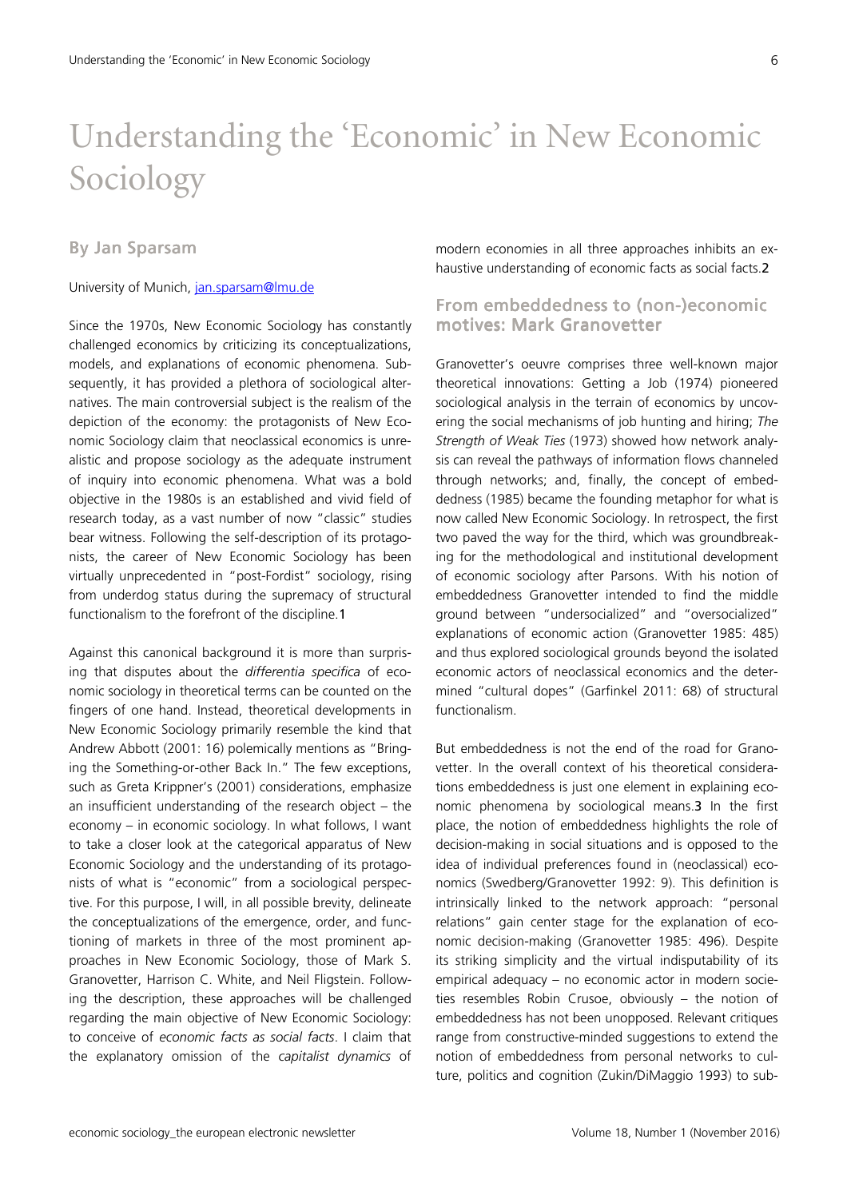# Understanding the 'Economic' in New Economic Sociology

## By Jan Sparsam

#### University of Munich, jan.sparsam@lmu.de

Since the 1970s, New Economic Sociology has constantly challenged economics by criticizing its conceptualizations, models, and explanations of economic phenomena. Subsequently, it has provided a plethora of sociological alternatives. The main controversial subject is the realism of the depiction of the economy: the protagonists of New Economic Sociology claim that neoclassical economics is unrealistic and propose sociology as the adequate instrument of inquiry into economic phenomena. What was a bold objective in the 1980s is an established and vivid field of research today, as a vast number of now "classic" studies bear witness. Following the self-description of its protagonists, the career of New Economic Sociology has been virtually unprecedented in "post-Fordist" sociology, rising from underdog status during the supremacy of structural functionalism to the forefront of the discipline.1

Against this canonical background it is more than surprising that disputes about the *differentia specifica* of economic sociology in theoretical terms can be counted on the fingers of one hand. Instead, theoretical developments in New Economic Sociology primarily resemble the kind that Andrew Abbott (2001: 16) polemically mentions as "Bringing the Something-or-other Back In." The few exceptions, such as Greta Krippner's (2001) considerations, emphasize an insufficient understanding of the research object – the economy – in economic sociology. In what follows, I want to take a closer look at the categorical apparatus of New Economic Sociology and the understanding of its protagonists of what is "economic" from a sociological perspective. For this purpose, I will, in all possible brevity, delineate the conceptualizations of the emergence, order, and functioning of markets in three of the most prominent approaches in New Economic Sociology, those of Mark S. Granovetter, Harrison C. White, and Neil Fligstein. Following the description, these approaches will be challenged regarding the main objective of New Economic Sociology: to conceive of *economic facts as social facts*. I claim that the explanatory omission of the *capitalist dynamics* of

modern economies in all three approaches inhibits an exhaustive understanding of economic facts as social facts.2

## From embeddedness to (non-)economic motives: Mark Granovetter

Granovetter's oeuvre comprises three well-known major theoretical innovations: Getting a Job (1974) pioneered sociological analysis in the terrain of economics by uncovering the social mechanisms of job hunting and hiring; *The Strength of Weak Ties* (1973) showed how network analysis can reveal the pathways of information flows channeled through networks; and, finally, the concept of embeddedness (1985) became the founding metaphor for what is now called New Economic Sociology. In retrospect, the first two paved the way for the third, which was groundbreaking for the methodological and institutional development of economic sociology after Parsons. With his notion of embeddedness Granovetter intended to find the middle ground between "undersocialized" and "oversocialized" explanations of economic action (Granovetter 1985: 485) and thus explored sociological grounds beyond the isolated economic actors of neoclassical economics and the determined "cultural dopes" (Garfinkel 2011: 68) of structural functionalism.

But embeddedness is not the end of the road for Granovetter. In the overall context of his theoretical considerations embeddedness is just one element in explaining economic phenomena by sociological means.3 In the first place, the notion of embeddedness highlights the role of decision-making in social situations and is opposed to the idea of individual preferences found in (neoclassical) economics (Swedberg/Granovetter 1992: 9). This definition is intrinsically linked to the network approach: "personal relations" gain center stage for the explanation of economic decision-making (Granovetter 1985: 496). Despite its striking simplicity and the virtual indisputability of its empirical adequacy – no economic actor in modern societies resembles Robin Crusoe, obviously – the notion of embeddedness has not been unopposed. Relevant critiques range from constructive-minded suggestions to extend the notion of embeddedness from personal networks to culture, politics and cognition (Zukin/DiMaggio 1993) to sub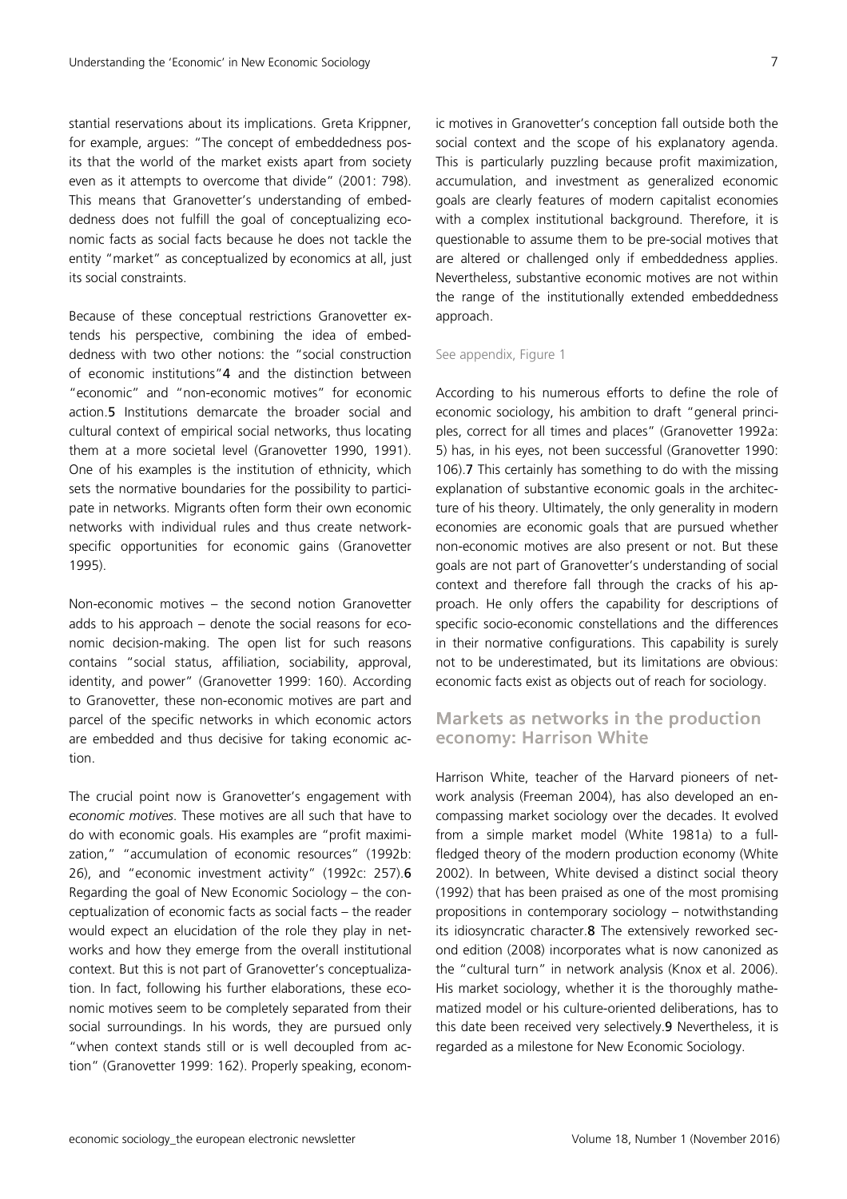stantial reservations about its implications. Greta Krippner, for example, argues: "The concept of embeddedness posits that the world of the market exists apart from society even as it attempts to overcome that divide" (2001: 798). This means that Granovetter's understanding of embeddedness does not fulfill the goal of conceptualizing economic facts as social facts because he does not tackle the entity "market" as conceptualized by economics at all, just its social constraints.

Because of these conceptual restrictions Granovetter extends his perspective, combining the idea of embeddedness with two other notions: the "social construction of economic institutions"4 and the distinction between "economic" and "non-economic motives" for economic action.5 Institutions demarcate the broader social and cultural context of empirical social networks, thus locating them at a more societal level (Granovetter 1990, 1991). One of his examples is the institution of ethnicity, which sets the normative boundaries for the possibility to participate in networks. Migrants often form their own economic networks with individual rules and thus create networkspecific opportunities for economic gains (Granovetter 1995).

Non-economic motives – the second notion Granovetter adds to his approach – denote the social reasons for economic decision-making. The open list for such reasons contains "social status, affiliation, sociability, approval, identity, and power" (Granovetter 1999: 160). According to Granovetter, these non-economic motives are part and parcel of the specific networks in which economic actors are embedded and thus decisive for taking economic action.

The crucial point now is Granovetter's engagement with *economic motives*. These motives are all such that have to do with economic goals. His examples are "profit maximization," "accumulation of economic resources" (1992b: 26), and "economic investment activity" (1992c: 257).6 Regarding the goal of New Economic Sociology – the conceptualization of economic facts as social facts – the reader would expect an elucidation of the role they play in networks and how they emerge from the overall institutional context. But this is not part of Granovetter's conceptualization. In fact, following his further elaborations, these economic motives seem to be completely separated from their social surroundings. In his words, they are pursued only "when context stands still or is well decoupled from action" (Granovetter 1999: 162). Properly speaking, economic motives in Granovetter's conception fall outside both the social context and the scope of his explanatory agenda. This is particularly puzzling because profit maximization, accumulation, and investment as generalized economic goals are clearly features of modern capitalist economies with a complex institutional background. Therefore, it is questionable to assume them to be pre-social motives that are altered or challenged only if embeddedness applies. Nevertheless, substantive economic motives are not within the range of the institutionally extended embeddedness approach.

#### See appendix, Figure 1

According to his numerous efforts to define the role of economic sociology, his ambition to draft "general principles, correct for all times and places" (Granovetter 1992a: 5) has, in his eyes, not been successful (Granovetter 1990: 106).7 This certainly has something to do with the missing explanation of substantive economic goals in the architecture of his theory. Ultimately, the only generality in modern economies are economic goals that are pursued whether non-economic motives are also present or not. But these goals are not part of Granovetter's understanding of social context and therefore fall through the cracks of his approach. He only offers the capability for descriptions of specific socio-economic constellations and the differences in their normative configurations. This capability is surely not to be underestimated, but its limitations are obvious: economic facts exist as objects out of reach for sociology.

## Markets as networks in the production economy: Harrison White

Harrison White, teacher of the Harvard pioneers of network analysis (Freeman 2004), has also developed an encompassing market sociology over the decades. It evolved from a simple market model (White 1981a) to a fullfledged theory of the modern production economy (White 2002). In between, White devised a distinct social theory (1992) that has been praised as one of the most promising propositions in contemporary sociology – notwithstanding its idiosyncratic character.8 The extensively reworked second edition (2008) incorporates what is now canonized as the "cultural turn" in network analysis (Knox et al. 2006). His market sociology, whether it is the thoroughly mathematized model or his culture-oriented deliberations, has to this date been received very selectively.9 Nevertheless, it is regarded as a milestone for New Economic Sociology.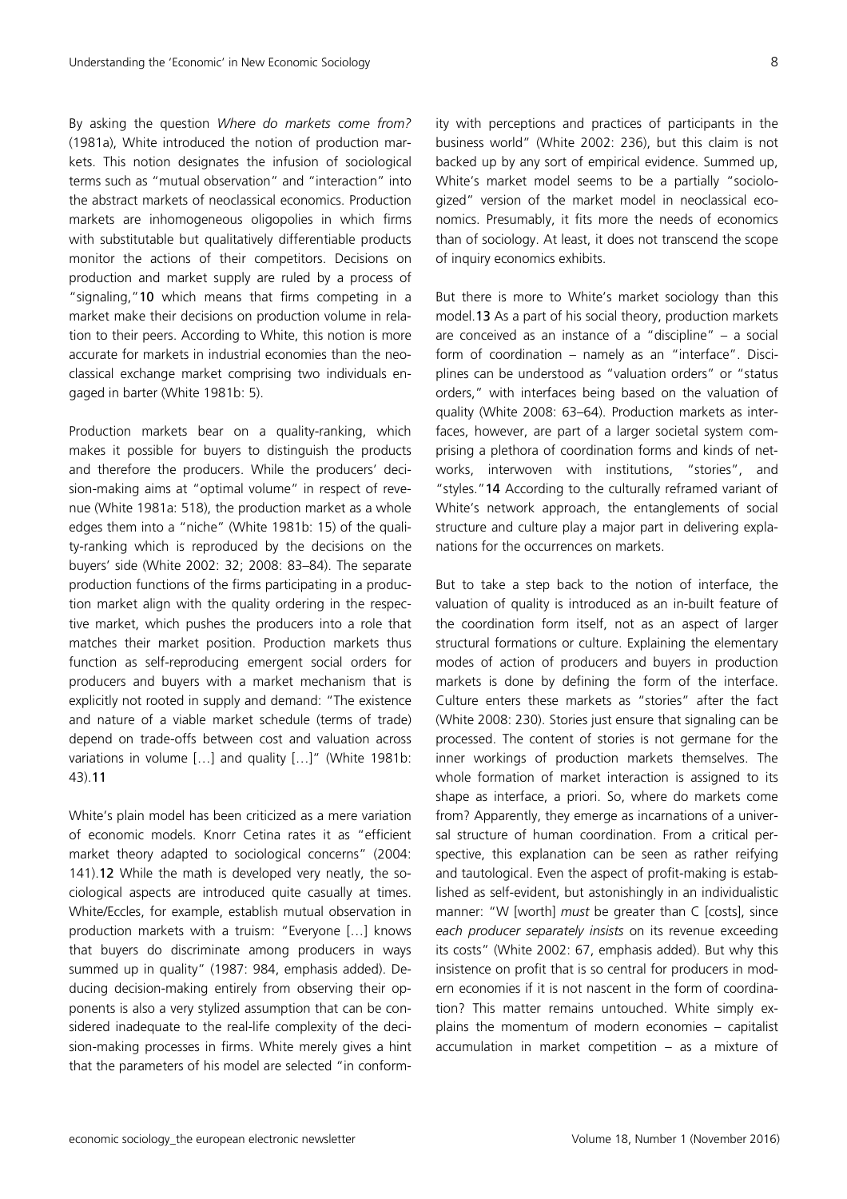By asking the question *Where do markets come from?* (1981a), White introduced the notion of production markets. This notion designates the infusion of sociological terms such as "mutual observation" and "interaction" into the abstract markets of neoclassical economics. Production markets are inhomogeneous oligopolies in which firms with substitutable but qualitatively differentiable products monitor the actions of their competitors. Decisions on production and market supply are ruled by a process of "signaling,"10 which means that firms competing in a market make their decisions on production volume in relation to their peers. According to White, this notion is more accurate for markets in industrial economies than the neoclassical exchange market comprising two individuals engaged in barter (White 1981b: 5).

Production markets bear on a quality-ranking, which makes it possible for buyers to distinguish the products and therefore the producers. While the producers' decision-making aims at "optimal volume" in respect of revenue (White 1981a: 518), the production market as a whole edges them into a "niche" (White 1981b: 15) of the quality-ranking which is reproduced by the decisions on the buyers' side (White 2002: 32; 2008: 83–84). The separate production functions of the firms participating in a production market align with the quality ordering in the respective market, which pushes the producers into a role that matches their market position. Production markets thus function as self-reproducing emergent social orders for producers and buyers with a market mechanism that is explicitly not rooted in supply and demand: "The existence and nature of a viable market schedule (terms of trade) depend on trade-offs between cost and valuation across variations in volume […] and quality […]" (White 1981b: 43).11

White's plain model has been criticized as a mere variation of economic models. Knorr Cetina rates it as "efficient market theory adapted to sociological concerns" (2004: 141).12 While the math is developed very neatly, the sociological aspects are introduced quite casually at times. White/Eccles, for example, establish mutual observation in production markets with a truism: "Everyone […] knows that buyers do discriminate among producers in ways summed up in quality" (1987: 984, emphasis added). Deducing decision-making entirely from observing their opponents is also a very stylized assumption that can be considered inadequate to the real-life complexity of the decision-making processes in firms. White merely gives a hint that the parameters of his model are selected "in conformity with perceptions and practices of participants in the business world" (White 2002: 236), but this claim is not backed up by any sort of empirical evidence. Summed up, White's market model seems to be a partially "sociologized" version of the market model in neoclassical economics. Presumably, it fits more the needs of economics than of sociology. At least, it does not transcend the scope of inquiry economics exhibits.

But there is more to White's market sociology than this model.13 As a part of his social theory, production markets are conceived as an instance of a "discipline" – a social form of coordination – namely as an "interface". Disciplines can be understood as "valuation orders" or "status orders," with interfaces being based on the valuation of quality (White 2008: 63–64). Production markets as interfaces, however, are part of a larger societal system comprising a plethora of coordination forms and kinds of networks, interwoven with institutions, "stories", and "styles."14 According to the culturally reframed variant of White's network approach, the entanglements of social structure and culture play a major part in delivering explanations for the occurrences on markets.

But to take a step back to the notion of interface, the valuation of quality is introduced as an in-built feature of the coordination form itself, not as an aspect of larger structural formations or culture. Explaining the elementary modes of action of producers and buyers in production markets is done by defining the form of the interface. Culture enters these markets as "stories" after the fact (White 2008: 230). Stories just ensure that signaling can be processed. The content of stories is not germane for the inner workings of production markets themselves. The whole formation of market interaction is assigned to its shape as interface, a priori. So, where do markets come from? Apparently, they emerge as incarnations of a universal structure of human coordination. From a critical perspective, this explanation can be seen as rather reifying and tautological. Even the aspect of profit-making is established as self-evident, but astonishingly in an individualistic manner: "W [worth] *must* be greater than C [costs], since *each producer separately insists* on its revenue exceeding its costs" (White 2002: 67, emphasis added). But why this insistence on profit that is so central for producers in modern economies if it is not nascent in the form of coordination? This matter remains untouched. White simply explains the momentum of modern economies – capitalist accumulation in market competition – as a mixture of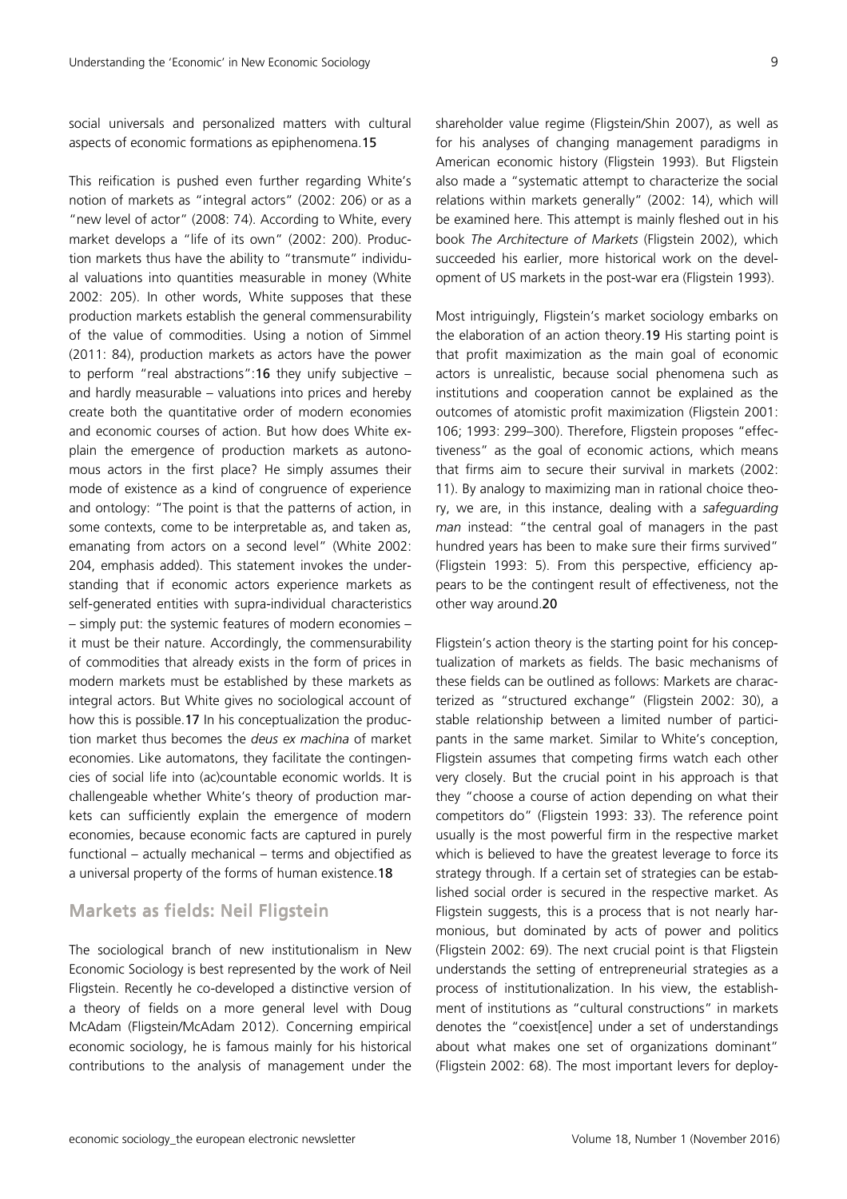social universals and personalized matters with cultural aspects of economic formations as epiphenomena.15

This reification is pushed even further regarding White's notion of markets as "integral actors" (2002: 206) or as a "new level of actor" (2008: 74). According to White, every market develops a "life of its own" (2002: 200). Production markets thus have the ability to "transmute" individual valuations into quantities measurable in money (White 2002: 205). In other words, White supposes that these production markets establish the general commensurability of the value of commodities. Using a notion of Simmel (2011: 84), production markets as actors have the power to perform "real abstractions":16 they unify subjective – and hardly measurable – valuations into prices and hereby create both the quantitative order of modern economies and economic courses of action. But how does White explain the emergence of production markets as autonomous actors in the first place? He simply assumes their mode of existence as a kind of congruence of experience and ontology: "The point is that the patterns of action, in some contexts, come to be interpretable as, and taken as, emanating from actors on a second level" (White 2002: 204, emphasis added). This statement invokes the understanding that if economic actors experience markets as self-generated entities with supra-individual characteristics – simply put: the systemic features of modern economies – it must be their nature. Accordingly, the commensurability of commodities that already exists in the form of prices in modern markets must be established by these markets as integral actors. But White gives no sociological account of how this is possible.17 In his conceptualization the production market thus becomes the *deus ex machina* of market economies. Like automatons, they facilitate the contingencies of social life into (ac)countable economic worlds. It is challengeable whether White's theory of production markets can sufficiently explain the emergence of modern economies, because economic facts are captured in purely functional – actually mechanical – terms and objectified as a universal property of the forms of human existence.18

## Markets as fields: Neil Fligstein

The sociological branch of new institutionalism in New Economic Sociology is best represented by the work of Neil Fligstein. Recently he co-developed a distinctive version of a theory of fields on a more general level with Doug McAdam (Fligstein/McAdam 2012). Concerning empirical economic sociology, he is famous mainly for his historical contributions to the analysis of management under the

shareholder value regime (Fligstein/Shin 2007), as well as for his analyses of changing management paradigms in American economic history (Fligstein 1993). But Fligstein also made a "systematic attempt to characterize the social relations within markets generally" (2002: 14), which will be examined here. This attempt is mainly fleshed out in his book *The Architecture of Markets* (Fligstein 2002), which succeeded his earlier, more historical work on the development of US markets in the post-war era (Fligstein 1993).

Most intriguingly, Fligstein's market sociology embarks on the elaboration of an action theory.19 His starting point is that profit maximization as the main goal of economic actors is unrealistic, because social phenomena such as institutions and cooperation cannot be explained as the outcomes of atomistic profit maximization (Fligstein 2001: 106; 1993: 299–300). Therefore, Fligstein proposes "effectiveness" as the goal of economic actions, which means that firms aim to secure their survival in markets (2002: 11). By analogy to maximizing man in rational choice theory, we are, in this instance, dealing with a *safeguarding man* instead: "the central goal of managers in the past hundred years has been to make sure their firms survived" (Fligstein 1993: 5). From this perspective, efficiency appears to be the contingent result of effectiveness, not the other way around.20

Fligstein's action theory is the starting point for his conceptualization of markets as fields. The basic mechanisms of these fields can be outlined as follows: Markets are characterized as "structured exchange" (Fligstein 2002: 30), a stable relationship between a limited number of participants in the same market. Similar to White's conception, Fligstein assumes that competing firms watch each other very closely. But the crucial point in his approach is that they "choose a course of action depending on what their competitors do" (Fligstein 1993: 33). The reference point usually is the most powerful firm in the respective market which is believed to have the greatest leverage to force its strategy through. If a certain set of strategies can be established social order is secured in the respective market. As Fligstein suggests, this is a process that is not nearly harmonious, but dominated by acts of power and politics (Fligstein 2002: 69). The next crucial point is that Fligstein understands the setting of entrepreneurial strategies as a process of institutionalization. In his view, the establishment of institutions as "cultural constructions" in markets denotes the "coexist[ence] under a set of understandings about what makes one set of organizations dominant" (Fligstein 2002: 68). The most important levers for deploy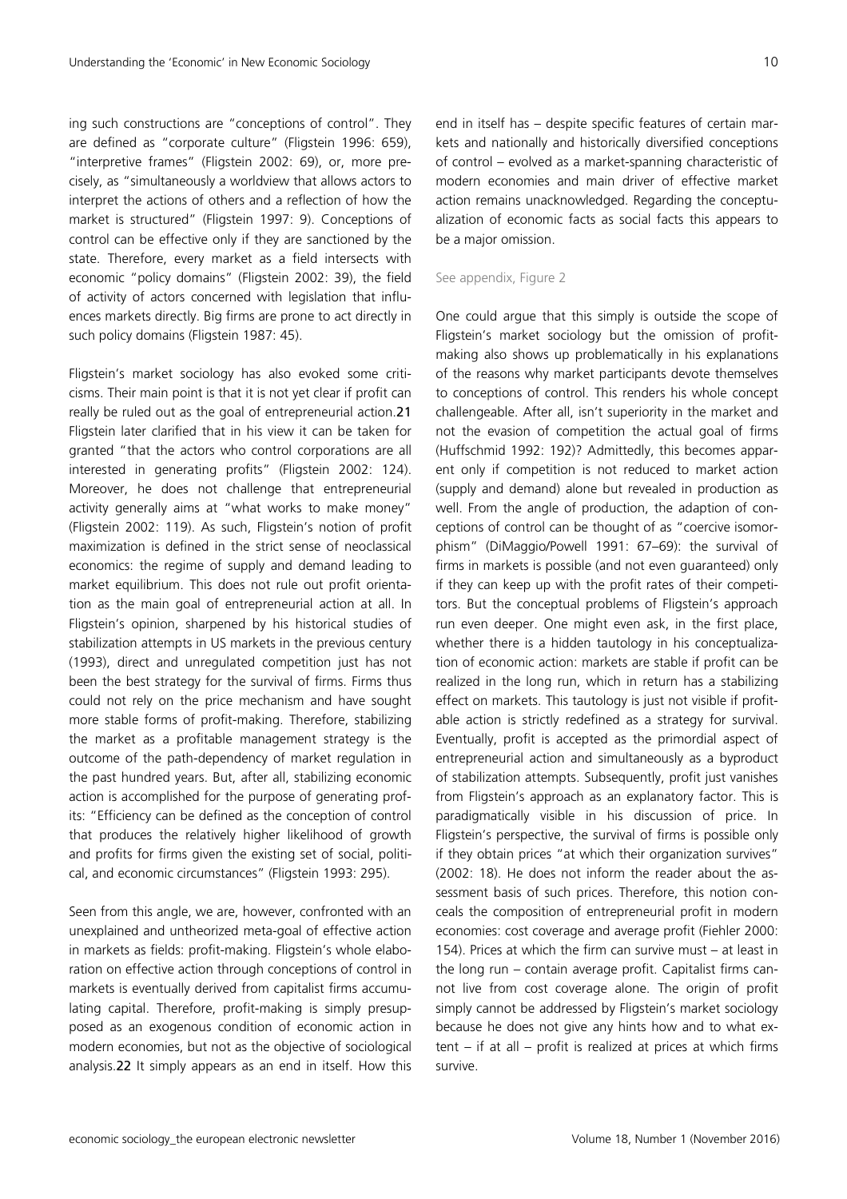ing such constructions are "conceptions of control". They are defined as "corporate culture" (Fligstein 1996: 659), "interpretive frames" (Fligstein 2002: 69), or, more precisely, as "simultaneously a worldview that allows actors to interpret the actions of others and a reflection of how the market is structured" (Fligstein 1997: 9). Conceptions of control can be effective only if they are sanctioned by the state. Therefore, every market as a field intersects with economic "policy domains" (Fligstein 2002: 39), the field of activity of actors concerned with legislation that influences markets directly. Big firms are prone to act directly in such policy domains (Fligstein 1987: 45).

Fligstein's market sociology has also evoked some criticisms. Their main point is that it is not yet clear if profit can really be ruled out as the goal of entrepreneurial action.21 Fligstein later clarified that in his view it can be taken for granted "that the actors who control corporations are all interested in generating profits" (Fligstein 2002: 124). Moreover, he does not challenge that entrepreneurial activity generally aims at "what works to make money" (Fligstein 2002: 119). As such, Fligstein's notion of profit maximization is defined in the strict sense of neoclassical economics: the regime of supply and demand leading to market equilibrium. This does not rule out profit orientation as the main goal of entrepreneurial action at all. In Fligstein's opinion, sharpened by his historical studies of stabilization attempts in US markets in the previous century (1993), direct and unregulated competition just has not been the best strategy for the survival of firms. Firms thus could not rely on the price mechanism and have sought more stable forms of profit-making. Therefore, stabilizing the market as a profitable management strategy is the outcome of the path-dependency of market regulation in the past hundred years. But, after all, stabilizing economic action is accomplished for the purpose of generating profits: "Efficiency can be defined as the conception of control that produces the relatively higher likelihood of growth and profits for firms given the existing set of social, political, and economic circumstances" (Fligstein 1993: 295).

Seen from this angle, we are, however, confronted with an unexplained and untheorized meta-goal of effective action in markets as fields: profit-making. Fligstein's whole elaboration on effective action through conceptions of control in markets is eventually derived from capitalist firms accumulating capital. Therefore, profit-making is simply presupposed as an exogenous condition of economic action in modern economies, but not as the objective of sociological analysis.22 It simply appears as an end in itself. How this end in itself has – despite specific features of certain markets and nationally and historically diversified conceptions of control – evolved as a market-spanning characteristic of modern economies and main driver of effective market action remains unacknowledged. Regarding the conceptualization of economic facts as social facts this appears to be a major omission.

#### See appendix, Figure 2

One could argue that this simply is outside the scope of Fligstein's market sociology but the omission of profitmaking also shows up problematically in his explanations of the reasons why market participants devote themselves to conceptions of control. This renders his whole concept challengeable. After all, isn't superiority in the market and not the evasion of competition the actual goal of firms (Huffschmid 1992: 192)? Admittedly, this becomes apparent only if competition is not reduced to market action (supply and demand) alone but revealed in production as well. From the angle of production, the adaption of conceptions of control can be thought of as "coercive isomorphism" (DiMaggio/Powell 1991: 67–69): the survival of firms in markets is possible (and not even guaranteed) only if they can keep up with the profit rates of their competitors. But the conceptual problems of Fligstein's approach run even deeper. One might even ask, in the first place, whether there is a hidden tautology in his conceptualization of economic action: markets are stable if profit can be realized in the long run, which in return has a stabilizing effect on markets. This tautology is just not visible if profitable action is strictly redefined as a strategy for survival. Eventually, profit is accepted as the primordial aspect of entrepreneurial action and simultaneously as a byproduct of stabilization attempts. Subsequently, profit just vanishes from Fligstein's approach as an explanatory factor. This is paradigmatically visible in his discussion of price. In Fligstein's perspective, the survival of firms is possible only if they obtain prices "at which their organization survives" (2002: 18). He does not inform the reader about the assessment basis of such prices. Therefore, this notion conceals the composition of entrepreneurial profit in modern economies: cost coverage and average profit (Fiehler 2000: 154). Prices at which the firm can survive must – at least in the long run – contain average profit. Capitalist firms cannot live from cost coverage alone. The origin of profit simply cannot be addressed by Fligstein's market sociology because he does not give any hints how and to what extent – if at all – profit is realized at prices at which firms survive.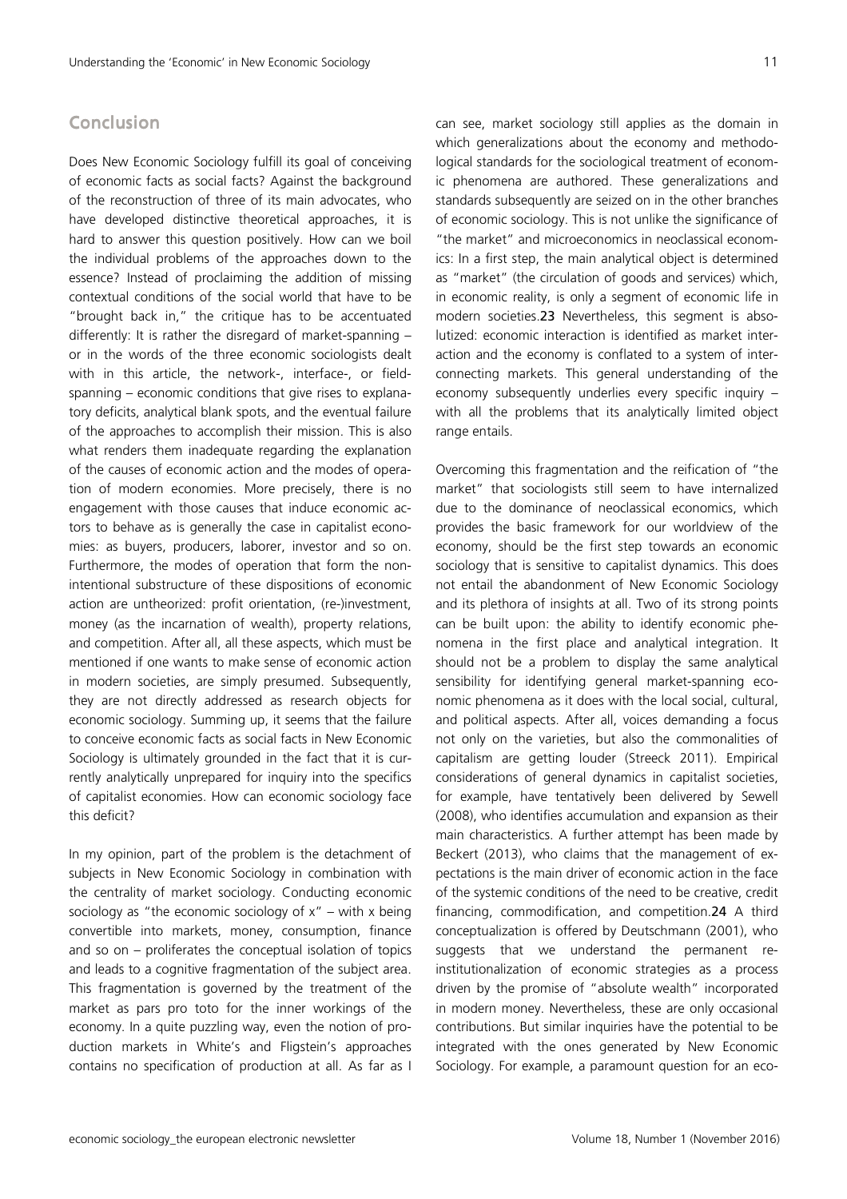# **Conclusion**

Does New Economic Sociology fulfill its goal of conceiving of economic facts as social facts? Against the background of the reconstruction of three of its main advocates, who have developed distinctive theoretical approaches, it is hard to answer this question positively. How can we boil the individual problems of the approaches down to the essence? Instead of proclaiming the addition of missing contextual conditions of the social world that have to be "brought back in," the critique has to be accentuated differently: It is rather the disregard of market-spanning – or in the words of the three economic sociologists dealt with in this article, the network-, interface-, or fieldspanning – economic conditions that give rises to explanatory deficits, analytical blank spots, and the eventual failure of the approaches to accomplish their mission. This is also what renders them inadequate regarding the explanation of the causes of economic action and the modes of operation of modern economies. More precisely, there is no engagement with those causes that induce economic actors to behave as is generally the case in capitalist economies: as buyers, producers, laborer, investor and so on. Furthermore, the modes of operation that form the nonintentional substructure of these dispositions of economic action are untheorized: profit orientation, (re-)investment, money (as the incarnation of wealth), property relations, and competition. After all, all these aspects, which must be mentioned if one wants to make sense of economic action in modern societies, are simply presumed. Subsequently, they are not directly addressed as research objects for economic sociology. Summing up, it seems that the failure to conceive economic facts as social facts in New Economic Sociology is ultimately grounded in the fact that it is currently analytically unprepared for inquiry into the specifics of capitalist economies. How can economic sociology face this deficit?

In my opinion, part of the problem is the detachment of subjects in New Economic Sociology in combination with the centrality of market sociology. Conducting economic sociology as "the economic sociology of  $x'' -$  with x being convertible into markets, money, consumption, finance and so on – proliferates the conceptual isolation of topics and leads to a cognitive fragmentation of the subject area. This fragmentation is governed by the treatment of the market as pars pro toto for the inner workings of the economy. In a quite puzzling way, even the notion of production markets in White's and Fligstein's approaches contains no specification of production at all. As far as I can see, market sociology still applies as the domain in which generalizations about the economy and methodological standards for the sociological treatment of economic phenomena are authored. These generalizations and standards subsequently are seized on in the other branches of economic sociology. This is not unlike the significance of "the market" and microeconomics in neoclassical economics: In a first step, the main analytical object is determined as "market" (the circulation of goods and services) which, in economic reality, is only a segment of economic life in modern societies.23 Nevertheless, this segment is absolutized: economic interaction is identified as market interaction and the economy is conflated to a system of interconnecting markets. This general understanding of the economy subsequently underlies every specific inquiry – with all the problems that its analytically limited object range entails.

Overcoming this fragmentation and the reification of "the market" that sociologists still seem to have internalized due to the dominance of neoclassical economics, which provides the basic framework for our worldview of the economy, should be the first step towards an economic sociology that is sensitive to capitalist dynamics. This does not entail the abandonment of New Economic Sociology and its plethora of insights at all. Two of its strong points can be built upon: the ability to identify economic phenomena in the first place and analytical integration. It should not be a problem to display the same analytical sensibility for identifying general market-spanning economic phenomena as it does with the local social, cultural, and political aspects. After all, voices demanding a focus not only on the varieties, but also the commonalities of capitalism are getting louder (Streeck 2011). Empirical considerations of general dynamics in capitalist societies, for example, have tentatively been delivered by Sewell (2008), who identifies accumulation and expansion as their main characteristics. A further attempt has been made by Beckert (2013), who claims that the management of expectations is the main driver of economic action in the face of the systemic conditions of the need to be creative, credit financing, commodification, and competition.24 A third conceptualization is offered by Deutschmann (2001), who suggests that we understand the permanent reinstitutionalization of economic strategies as a process driven by the promise of "absolute wealth" incorporated in modern money. Nevertheless, these are only occasional contributions. But similar inquiries have the potential to be integrated with the ones generated by New Economic Sociology. For example, a paramount question for an eco-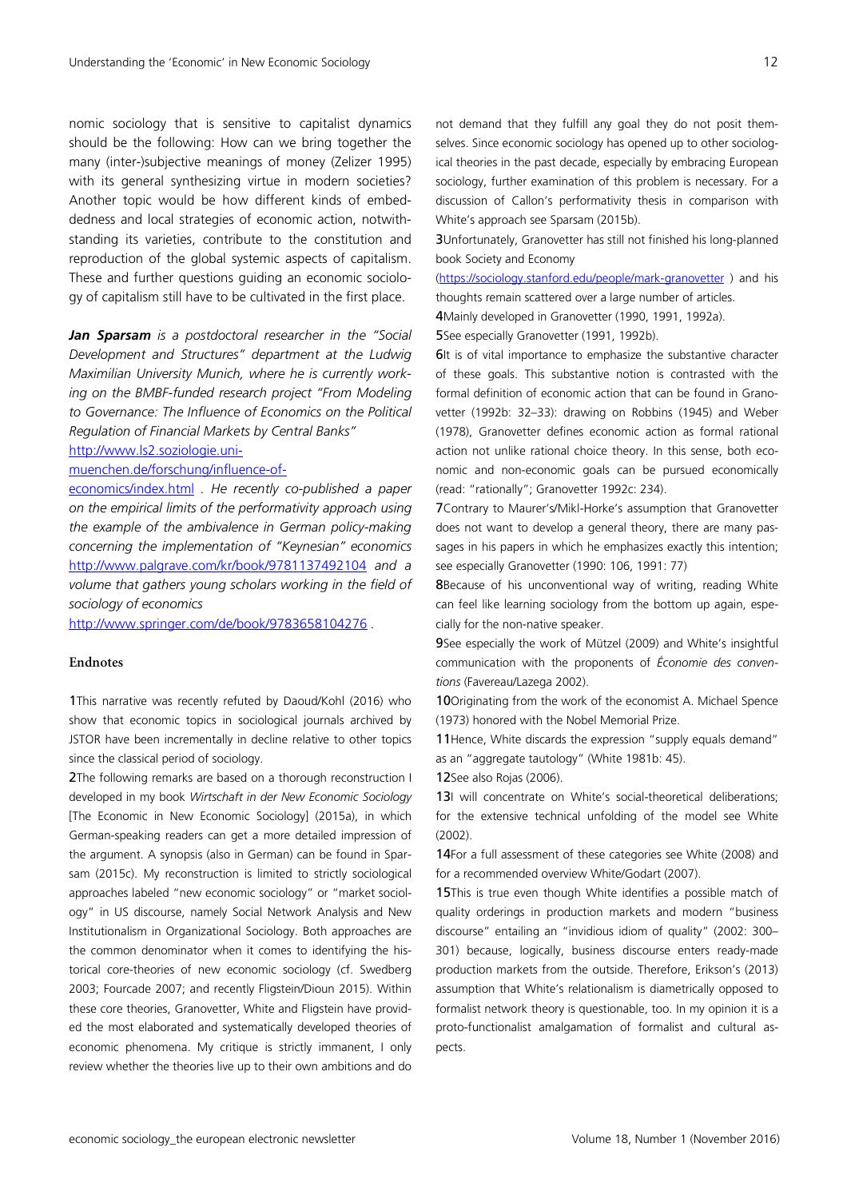nomic sociology that is sensitive to capitalist dynamics should be the following: How can we bring together the many (inter-)subjective meanings of money (Zelizer 1995) with its general synthesizing virtue in modern societies? Another topic would be how different kinds of embeddedness and local strategies of economic action, notwithstanding its varieties, contribute to the constitution and reproduction of the global systemic aspects of capitalism. These and further questions guiding an economic sociology of capitalism still have to be cultivated in the first place.

*Jan Sparsam is a postdoctoral researcher in the "Social Development and Structures" department at the Ludwig Maximilian University Munich, where he is currently working on the BMBF-funded research project "From Modeling to Governance: The Influence of Economics on the Political Regulation of Financial Markets by Central Banks"* 

http://www.ls2.soziologie.uni-

#### muenchen.de/forschung/influence-of-

economics/index.html *. He recently co-published a paper on the empirical limits of the performativity approach using the example of the ambivalence in German policy-making concerning the implementation of "Keynesian" economics*  http://www.palgrave.com/kr/book/9781137492104 *and a volume that gathers young scholars working in the field of sociology of economics* 

http://www.springer.com/de/book/9783658104276 *.* 

#### **Endnotes**

1This narrative was recently refuted by Daoud/Kohl (2016) who show that economic topics in sociological journals archived by JSTOR have been incrementally in decline relative to other topics since the classical period of sociology.

2The following remarks are based on a thorough reconstruction I developed in my book *Wirtschaft in der New Economic Sociology* [The Economic in New Economic Sociology] (2015a), in which German-speaking readers can get a more detailed impression of the argument. A synopsis (also in German) can be found in Sparsam (2015c). My reconstruction is limited to strictly sociological approaches labeled "new economic sociology" or "market sociology" in US discourse, namely Social Network Analysis and New Institutionalism in Organizational Sociology. Both approaches are the common denominator when it comes to identifying the historical core-theories of new economic sociology (cf. Swedberg 2003; Fourcade 2007; and recently Fligstein/Dioun 2015). Within these core theories, Granovetter, White and Fligstein have provided the most elaborated and systematically developed theories of economic phenomena. My critique is strictly immanent, I only review whether the theories live up to their own ambitions and do

not demand that they fulfill any goal they do not posit themselves. Since economic sociology has opened up to other sociological theories in the past decade, especially by embracing European sociology, further examination of this problem is necessary. For a discussion of Callon's performativity thesis in comparison with White's approach see Sparsam (2015b).

3Unfortunately, Granovetter has still not finished his long-planned book Society and Economy

(https://sociology.stanford.edu/people/mark-granovetter ) and his thoughts remain scattered over a large number of articles.

4Mainly developed in Granovetter (1990, 1991, 1992a).

5See especially Granovetter (1991, 1992b).

**6**It is of vital importance to emphasize the substantive character of these goals. This substantive notion is contrasted with the formal definition of economic action that can be found in Granovetter (1992b: 32–33): drawing on Robbins (1945) and Weber (1978), Granovetter defines economic action as formal rational action not unlike rational choice theory. In this sense, both economic and non-economic goals can be pursued economically (read: "rationally"; Granovetter 1992c: 234).

7Contrary to Maurer's/Mikl-Horke's assumption that Granovetter does not want to develop a general theory, there are many passages in his papers in which he emphasizes exactly this intention; see especially Granovetter (1990: 106, 1991: 77)

8Because of his unconventional way of writing, reading White can feel like learning sociology from the bottom up again, especially for the non-native speaker.

9See especially the work of Mützel (2009) and White's insightful communication with the proponents of *Économie des conventions* (Favereau/Lazega 2002).

10Originating from the work of the economist A. Michael Spence (1973) honored with the Nobel Memorial Prize.

11Hence, White discards the expression "supply equals demand" as an "aggregate tautology" (White 1981b: 45).

12See also Rojas (2006).

13I will concentrate on White's social-theoretical deliberations; for the extensive technical unfolding of the model see White (2002).

14For a full assessment of these categories see White (2008) and for a recommended overview White/Godart (2007).

15This is true even though White identifies a possible match of quality orderings in production markets and modern "business discourse" entailing an "invidious idiom of quality" (2002: 300– 301) because, logically, business discourse enters ready-made production markets from the outside. Therefore, Erikson's (2013) assumption that White's relationalism is diametrically opposed to formalist network theory is questionable, too. In my opinion it is a proto-functionalist amalgamation of formalist and cultural aspects.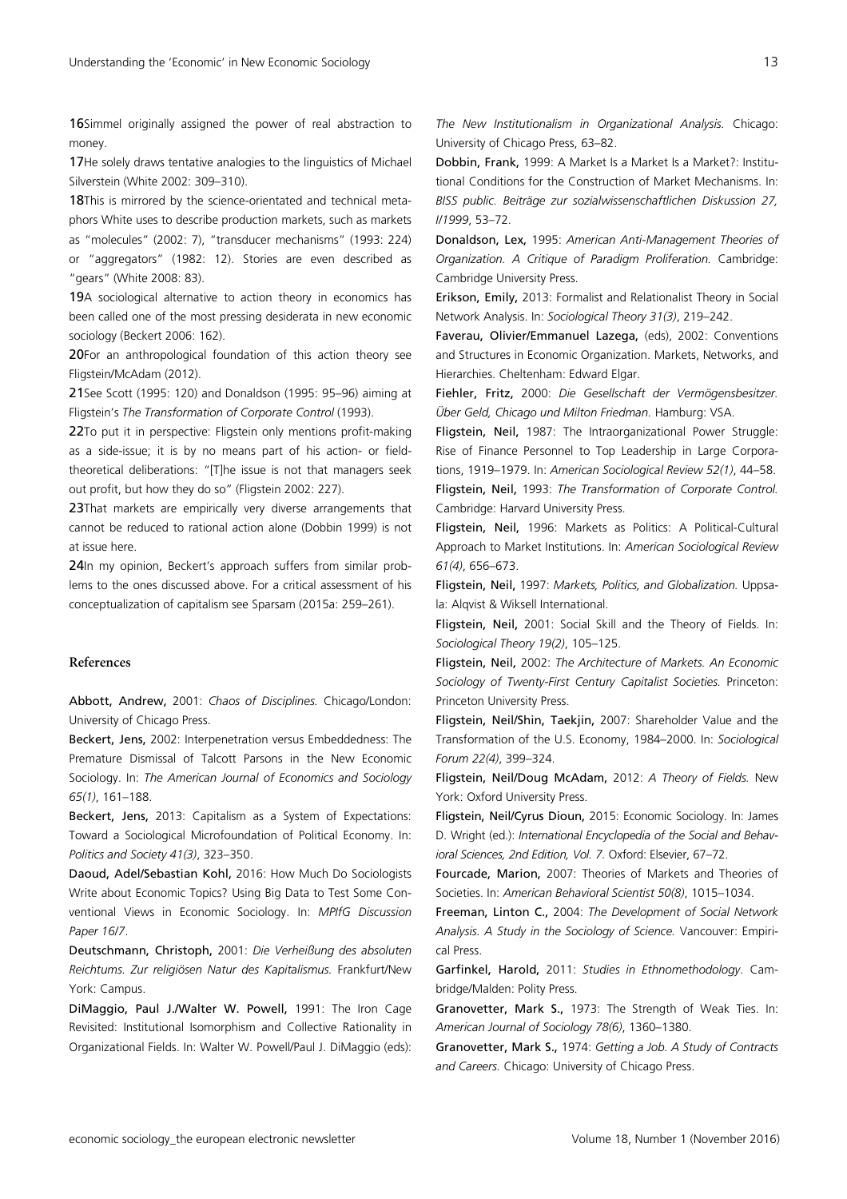16Simmel originally assigned the power of real abstraction to money.

17He solely draws tentative analogies to the linguistics of Michael Silverstein (White 2002: 309–310).

18This is mirrored by the science-orientated and technical metaphors White uses to describe production markets, such as markets as "molecules" (2002: 7), "transducer mechanisms" (1993: 224) or "aggregators" (1982: 12). Stories are even described as "gears" (White 2008: 83).

19A sociological alternative to action theory in economics has been called one of the most pressing desiderata in new economic sociology (Beckert 2006: 162).

20For an anthropological foundation of this action theory see Fligstein/McAdam (2012).

21See Scott (1995: 120) and Donaldson (1995: 95–96) aiming at Fligstein's *The Transformation of Corporate Control* (1993).

22To put it in perspective: Fligstein only mentions profit-making as a side-issue; it is by no means part of his action- or fieldtheoretical deliberations: "[T]he issue is not that managers seek out profit, but how they do so" (Fligstein 2002: 227).

23That markets are empirically very diverse arrangements that cannot be reduced to rational action alone (Dobbin 1999) is not at issue here.

24In my opinion, Beckert's approach suffers from similar problems to the ones discussed above. For a critical assessment of his conceptualization of capitalism see Sparsam (2015a: 259–261).

#### **References**

Abbott, Andrew, 2001: *Chaos of Disciplines.* Chicago/London: University of Chicago Press.

Beckert, Jens, 2002: Interpenetration versus Embeddedness: The Premature Dismissal of Talcott Parsons in the New Economic Sociology. In: *The American Journal of Economics and Sociology 65(1)*, 161–188.

Beckert, Jens, 2013: Capitalism as a System of Expectations: Toward a Sociological Microfoundation of Political Economy. In: *Politics and Society 41(3)*, 323–350.

Daoud, Adel/Sebastian Kohl, 2016: How Much Do Sociologists Write about Economic Topics? Using Big Data to Test Some Conventional Views in Economic Sociology. In: *MPIfG Discussion Paper 16/7*.

Deutschmann, Christoph, 2001: *Die Verheißung des absoluten Reichtums. Zur religiösen Natur des Kapitalismus.* Frankfurt/New York: Campus.

DiMaggio, Paul J./Walter W. Powell, 1991: The Iron Cage Revisited: Institutional Isomorphism and Collective Rationality in Organizational Fields. In: Walter W. Powell/Paul J. DiMaggio (eds):

*The New Institutionalism in Organizational Analysis.* Chicago: University of Chicago Press, 63–82.

Dobbin, Frank, 1999: A Market Is a Market Is a Market?: Institutional Conditions for the Construction of Market Mechanisms. In: *BISS public. Beiträge zur sozialwissenschaftlichen Diskussion 27, I/1999*, 53–72.

Donaldson, Lex, 1995: *American Anti-Management Theories of Organization. A Critique of Paradigm Proliferation.* Cambridge: Cambridge University Press.

Erikson, Emily, 2013: Formalist and Relationalist Theory in Social Network Analysis. In: *Sociological Theory 31(3)*, 219–242.

Faverau, Olivier/Emmanuel Lazega, (eds), 2002: Conventions and Structures in Economic Organization. Markets, Networks, and Hierarchies. Cheltenham: Edward Elgar.

Fiehler, Fritz, 2000: *Die Gesellschaft der Vermögensbesitzer. Über Geld, Chicago und Milton Friedman.* Hamburg: VSA.

Fligstein, Neil, 1987: The Intraorganizational Power Struggle: Rise of Finance Personnel to Top Leadership in Large Corporations, 1919–1979. In: *American Sociological Review 52(1)*, 44–58. Fligstein, Neil, 1993: *The Transformation of Corporate Control.*

Cambridge: Harvard University Press.

Fligstein, Neil, 1996: Markets as Politics: A Political-Cultural Approach to Market Institutions. In: *American Sociological Review 61(4)*, 656–673.

Fligstein, Neil, 1997: *Markets, Politics, and Globalization.* Uppsala: Alqvist & Wiksell International.

Fligstein, Neil, 2001: Social Skill and the Theory of Fields. In: *Sociological Theory 19(2)*, 105–125.

Fligstein, Neil, 2002: *The Architecture of Markets. An Economic Sociology of Twenty-First Century Capitalist Societies.* Princeton: Princeton University Press.

Fligstein, Neil/Shin, Taekjin, 2007: Shareholder Value and the Transformation of the U.S. Economy, 1984–2000. In: *Sociological Forum 22(4)*, 399–324.

Fligstein, Neil/Doug McAdam, 2012: *A Theory of Fields.* New York: Oxford University Press.

Fligstein, Neil/Cyrus Dioun, 2015: Economic Sociology. In: James D. Wright (ed.): *International Encyclopedia of the Social and Behavioral Sciences, 2nd Edition, Vol. 7.* Oxford: Elsevier, 67–72.

Fourcade, Marion, 2007: Theories of Markets and Theories of Societies. In: *American Behavioral Scientist 50(8)*, 1015–1034.

Freeman, Linton C., 2004: *The Development of Social Network Analysis. A Study in the Sociology of Science.* Vancouver: Empirical Press.

Garfinkel, Harold, 2011: *Studies in Ethnomethodology.* Cambridge/Malden: Polity Press.

Granovetter, Mark S., 1973: The Strength of Weak Ties. In: *American Journal of Sociology 78(6)*, 1360–1380.

Granovetter, Mark S., 1974: *Getting a Job. A Study of Contracts and Careers.* Chicago: University of Chicago Press.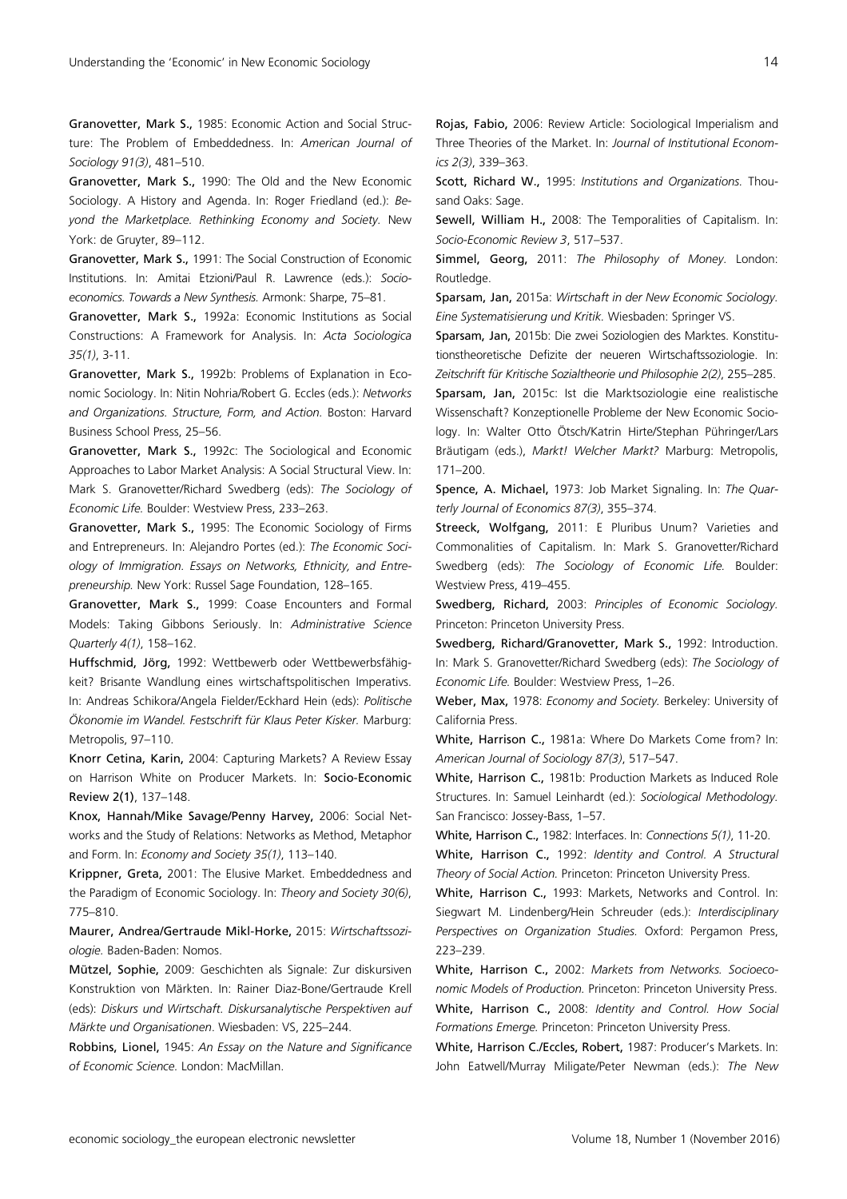Granovetter, Mark S., 1985: Economic Action and Social Structure: The Problem of Embeddedness. In: *American Journal of Sociology 91(3)*, 481–510.

Granovetter, Mark S., 1990: The Old and the New Economic Sociology. A History and Agenda. In: Roger Friedland (ed.): *Beyond the Marketplace. Rethinking Economy and Society.* New York: de Gruyter, 89–112.

Granovetter, Mark S., 1991: The Social Construction of Economic Institutions. In: Amitai Etzioni/Paul R. Lawrence (eds.): *Socioeconomics. Towards a New Synthesis.* Armonk: Sharpe, 75–81.

Granovetter, Mark S., 1992a: Economic Institutions as Social Constructions: A Framework for Analysis. In: *Acta Sociologica 35(1)*, 3-11.

Granovetter, Mark S., 1992b: Problems of Explanation in Economic Sociology. In: Nitin Nohria/Robert G. Eccles (eds.): *Networks and Organizations. Structure, Form, and Action.* Boston: Harvard Business School Press, 25–56.

Granovetter, Mark S., 1992c: The Sociological and Economic Approaches to Labor Market Analysis: A Social Structural View. In: Mark S. Granovetter/Richard Swedberg (eds): *The Sociology of Economic Life.* Boulder: Westview Press, 233–263.

Granovetter, Mark S., 1995: The Economic Sociology of Firms and Entrepreneurs. In: Alejandro Portes (ed.): *The Economic Sociology of Immigration. Essays on Networks, Ethnicity, and Entrepreneurship.* New York: Russel Sage Foundation, 128–165.

Granovetter, Mark S., 1999: Coase Encounters and Formal Models: Taking Gibbons Seriously. In: *Administrative Science Quarterly 4(1)*, 158–162.

Huffschmid, Jörg, 1992: Wettbewerb oder Wettbewerbsfähigkeit? Brisante Wandlung eines wirtschaftspolitischen Imperativs. In: Andreas Schikora/Angela Fielder/Eckhard Hein (eds): *Politische Ökonomie im Wandel. Festschrift für Klaus Peter Kisker.* Marburg: Metropolis, 97–110.

Knorr Cetina, Karin, 2004: Capturing Markets? A Review Essay on Harrison White on Producer Markets. In: Socio-Economic Review 2(1), 137–148.

Knox, Hannah/Mike Savage/Penny Harvey, 2006: Social Networks and the Study of Relations: Networks as Method, Metaphor and Form. In: *Economy and Society 35(1)*, 113–140.

Krippner, Greta, 2001: The Elusive Market. Embeddedness and the Paradigm of Economic Sociology. In: *Theory and Society 30(6)*, 775–810.

Maurer, Andrea/Gertraude Mikl-Horke, 2015: *Wirtschaftssoziologie.* Baden-Baden: Nomos.

Mützel, Sophie, 2009: Geschichten als Signale: Zur diskursiven Konstruktion von Märkten. In: Rainer Diaz-Bone/Gertraude Krell (eds): *Diskurs und Wirtschaft. Diskursanalytische Perspektiven auf Märkte und Organisationen*. Wiesbaden: VS, 225–244.

Robbins, Lionel, 1945: *An Essay on the Nature and Significance of Economic Science.* London: MacMillan.

Rojas, Fabio, 2006: Review Article: Sociological Imperialism and Three Theories of the Market. In: *Journal of Institutional Economics 2(3)*, 339–363.

Scott, Richard W., 1995: *Institutions and Organizations.* Thousand Oaks: Sage.

Sewell, William H., 2008: The Temporalities of Capitalism. In: *Socio-Economic Review 3*, 517–537.

Simmel, Georg, 2011: *The Philosophy of Money.* London: Routledge.

Sparsam, Jan, 2015a: *Wirtschaft in der New Economic Sociology. Eine Systematisierung und Kritik.* Wiesbaden: Springer VS.

Sparsam, Jan, 2015b: Die zwei Soziologien des Marktes. Konstitutionstheoretische Defizite der neueren Wirtschaftssoziologie. In: *Zeitschrift für Kritische Sozialtheorie und Philosophie 2(2)*, 255–285. Sparsam, Jan, 2015c: Ist die Marktsoziologie eine realistische Wissenschaft? Konzeptionelle Probleme der New Economic Sociology. In: Walter Otto Ötsch/Katrin Hirte/Stephan Pühringer/Lars Bräutigam (eds.), *Markt! Welcher Markt?* Marburg: Metropolis, 171–200.

Spence, A. Michael, 1973: Job Market Signaling. In: *The Quarterly Journal of Economics 87(3)*, 355–374.

Streeck, Wolfgang, 2011: E Pluribus Unum? Varieties and Commonalities of Capitalism. In: Mark S. Granovetter/Richard Swedberg (eds): *The Sociology of Economic Life.* Boulder: Westview Press, 419–455.

Swedberg, Richard, 2003: *Principles of Economic Sociology.* Princeton: Princeton University Press.

Swedberg, Richard/Granovetter, Mark S., 1992: Introduction. In: Mark S. Granovetter/Richard Swedberg (eds): *The Sociology of Economic Life.* Boulder: Westview Press, 1–26.

Weber, Max, 1978: *Economy and Society.* Berkeley: University of California Press.

White, Harrison C., 1981a: Where Do Markets Come from? In: *American Journal of Sociology 87(3)*, 517–547.

White, Harrison C., 1981b: Production Markets as Induced Role Structures. In: Samuel Leinhardt (ed.): *Sociological Methodology.* San Francisco: Jossey-Bass, 1–57.

White, Harrison C., 1982: Interfaces. In: *Connections 5(1)*, 11-20.

White, Harrison C., 1992: *Identity and Control. A Structural Theory of Social Action.* Princeton: Princeton University Press.

White, Harrison C., 1993: Markets, Networks and Control. In: Siegwart M. Lindenberg/Hein Schreuder (eds.): *Interdisciplinary Perspectives on Organization Studies.* Oxford: Pergamon Press, 223–239.

White, Harrison C., 2002: *Markets from Networks. Socioeconomic Models of Production.* Princeton: Princeton University Press. White, Harrison C., 2008: *Identity and Control. How Social Formations Emerge.* Princeton: Princeton University Press.

White, Harrison C./Eccles, Robert, 1987: Producer's Markets. In: John Eatwell/Murray Miligate/Peter Newman (eds.): *The New*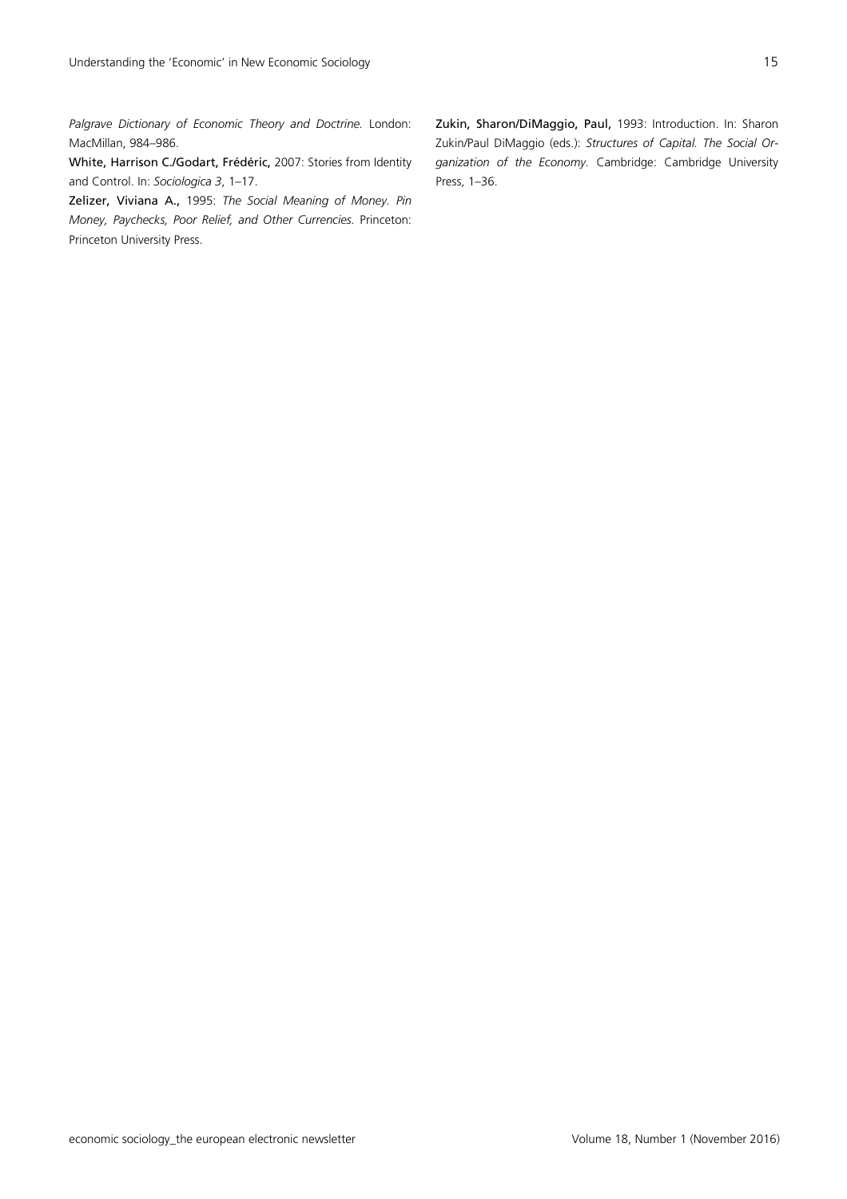*Palgrave Dictionary of Economic Theory and Doctrine.* London: MacMillan, 984–986.

White, Harrison C./Godart, Frédéric, 2007: Stories from Identity and Control. In: *Sociologica 3*, 1–17.

Zelizer, Viviana A., 1995: *The Social Meaning of Money. Pin Money, Paychecks, Poor Relief, and Other Currencies.* Princeton: Princeton University Press.

Zukin, Sharon/DiMaggio, Paul, 1993: Introduction. In: Sharon Zukin/Paul DiMaggio (eds.): *Structures of Capital. The Social Organization of the Economy.* Cambridge: Cambridge University Press, 1–36.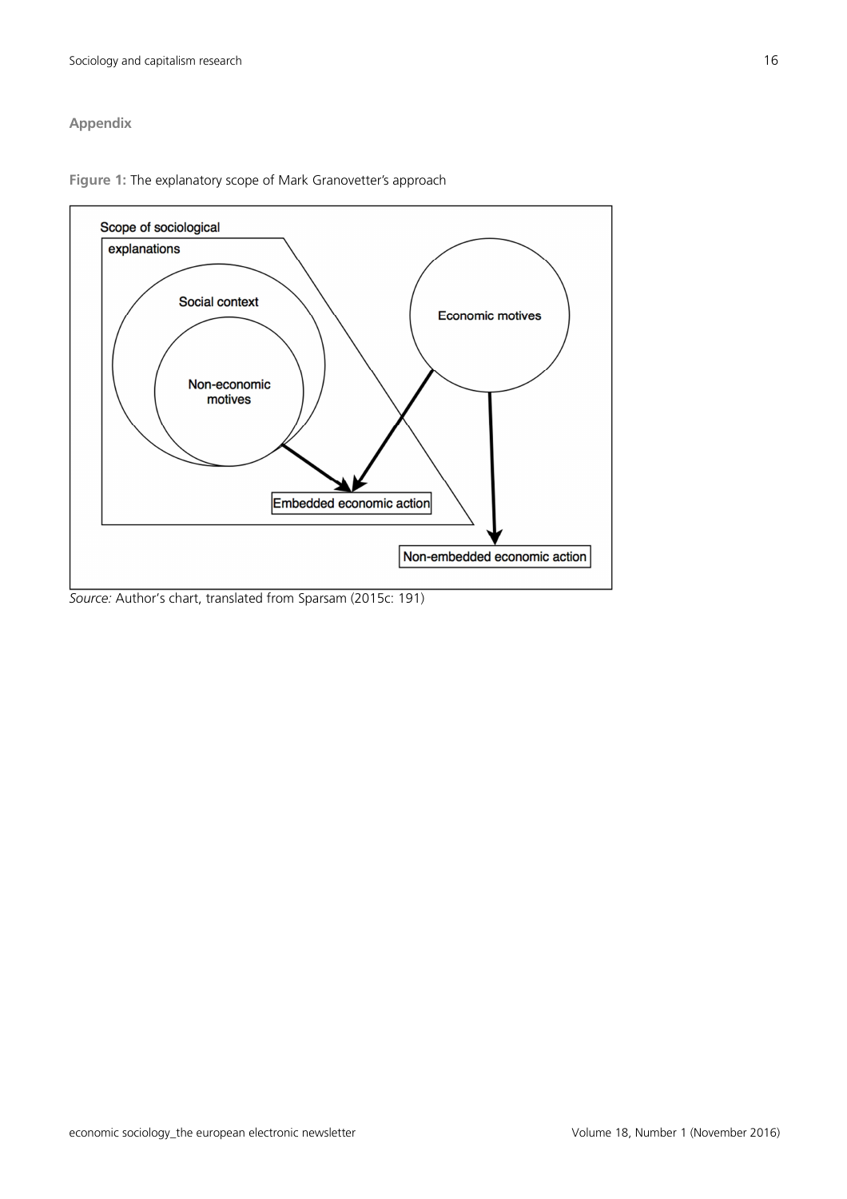## **Appendix**





*Source:* Author's chart, translated from Sparsam (2015c: 191)